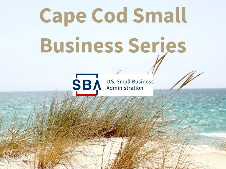# **Cape Cod Small Business Series**

SBA deministration

**U.S. Small Business**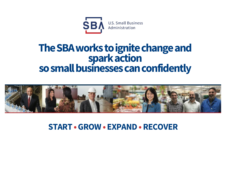

# **The SBA works to ignite change and spark action so small businesses can confidently**



**START •GROW • EXPAND •RECOVER**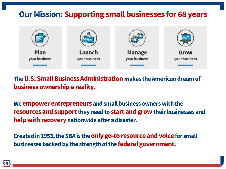#### **Our Mission: Supporting small businesses for 68 years**



**The U.S. Small Business Administration makes the American dream of business ownership a reality.** 

**We empower entrepreneurs and small business owners with the resources and support they need to start and grow their businesses and help with recovery nationwide after a disaster.** 

**Created in 1953, the SBA is the only go-to resource and voice for small businesses backed by the strength of the federal government.**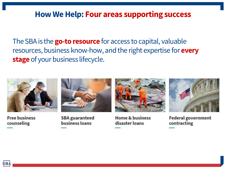#### **How We Help: Four areas supporting success**

The SBA is the **go-to resource** for access to capital, valuable resources, business know-how, and the right expertise for **every stage** of your business lifecycle.



**Free business** counseling



**SBA** guaranteed business loans



**Home & business** disaster loans



**Federal government** contracting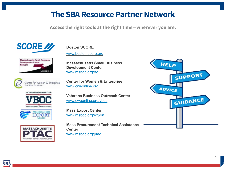#### **The SBA Resource Partner Network**

**Access the right tools at the right time—wherever you are.**













#### **Boston SCORE**

[www.boston.score.org](http://www.boston.score.org/)

**Massachusetts Small Business Development Center** [www.msbdc.org/rfc](http://www.msbdc.org/rfc)

**Center for Women & Enterprise** [www.cweonline.org](http://www.cweonline.org/)

**Veterans Business Outreach Center** [www.cweonline.org/vboc](http://www.cweonline.org/vboc)

**Mass Export Center** [www.msbdc.org/export](http://www.msbdc.org/export)

**Mass Procurement Technical Assistance Center** 

[www.msbdc.org/ptac](http://www.msbdc.org/ptac)

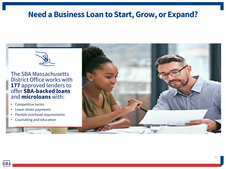#### **Need a Business Loan to Start, Grow, or Expand?**



The SBA Massachusetts District Office works with **177** approved lenders to offer **SBA-backed loans**  and **microloans** with:

- Competitive terms
- Lower down payments
- Flexible overhead requirements
- Counseling and education

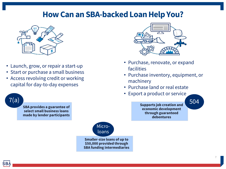#### **How Can an SBA-backed Loan Help You?**



- Launch, grow, or repair a start-up
- Start or purchase a small business
- Access revolving credit or working capital for day-to-day expenses



- Purchase, renovate, or expand facilities
- Purchase inventory, equipment, or machinery
- Purchase land or real estate
- Export a product or service

**Supports job creation and economic development through guaranteed debentures**  $7(a)$  504

**SBA provides a guarantee of select small business loans made by lender participants**



**Smaller-size loans of up to \$50,000 provided through SBA funding intermediaries**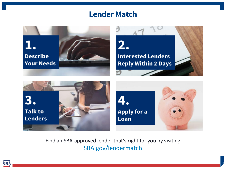#### **Lender Match**



Find an SBA-approved lender that's right for you by visiting SBA.gov/lendermatch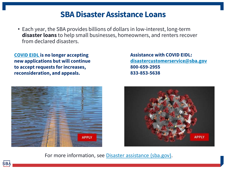#### **SBA Disaster Assistance Loans**

• Each year, the SBA provides billions of dollars in low-interest, long-term **disaster loans** to help small businesses, homeowners, and renters recover from declared disasters.

**[COVID EIDL](https://www.sba.gov/funding-programs/loans/covid-19-relief-options/eidl) is no longer accepting new applications but will continue to accept requests for increases, reconsideration, and appeals.**



**Assistance with COVID EIDL: [disastercustomerservice@sba.gov](mailto:disastercustomerservice@sba.gov) 800-659-2955 833-853-5638**



For more information, see [Disaster assistance \(sba.gov\).](https://www.sba.gov/funding-programs/disaster-assistance)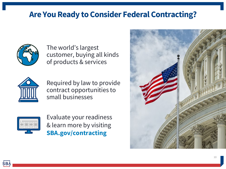#### **Are You Ready to Consider Federal Contracting?**



The world's largest customer, buying all kinds of products & services



Required by law to provide contract opportunities to small businesses



Evaluate your readiness & learn more by visiting **SBA.gov/contracting**

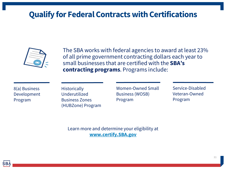#### **Qualify for Federal Contracts with Certifications**



The SBA works with federal agencies to award at least 23% of all prime government contracting dollars each year to small businesses that are certified with the **SBA's contracting programs**. Programs include:

8(a) Business Development Program

**Historically** Underutilized Business Zones (HUBZone) Program Women-Owned Small Business (WOSB) Program

Service-Disabled Veteran-Owned Program

Learn more and determine your eligibility at **[www.certify.SBA.gov](http://www.certify.sba.gov/)**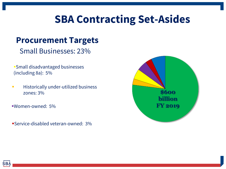### **SBA Contracting Set-Asides**

#### **Procurement Targets**

#### Small Businesses: 23%

- Small disadvantaged businesses (including 8a): 5%
- **Historically under-utilized business** zones: 3% **\$600**
- Women-owned: 5%
- Service-disabled veteran-owned: 3%